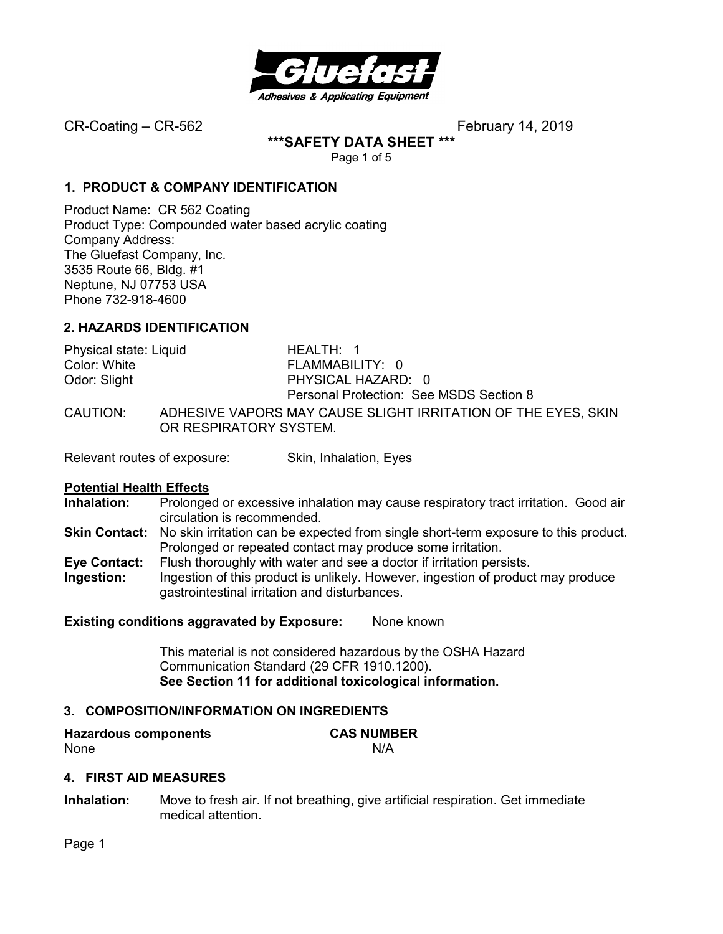

**\*\*\*SAFETY DATA SHEET \*\*\*** 

Page 1 of 5

# **1. PRODUCT & COMPANY IDENTIFICATION**

Product Name: CR 562 Coating Product Type: Compounded water based acrylic coating Company Address: The Gluefast Company, Inc. 3535 Route 66, Bldg. #1 Neptune, NJ 07753 USA Phone 732-918-4600

# **2. HAZARDS IDENTIFICATION**

| Physical state: Liquid | HEALTH: 1                                                                               |
|------------------------|-----------------------------------------------------------------------------------------|
| Color: White           | FLAMMABILITY: 0                                                                         |
| Odor: Slight           | PHYSICAL HAZARD: 0                                                                      |
|                        | Personal Protection: See MSDS Section 8                                                 |
| CAUTION:               | ADHESIVE VAPORS MAY CAUSE SLIGHT IRRITATION OF THE EYES. SKIN<br>OR RESPIRATORY SYSTEM. |

Relevant routes of exposure: Skin, Inhalation, Eyes

# **Potential Health Effects**

- **Inhalation:** Prolonged or excessive inhalation may cause respiratory tract irritation. Good air circulation is recommended.
- **Skin Contact:** No skin irritation can be expected from single short-term exposure to this product. Prolonged or repeated contact may produce some irritation.
- **Eye Contact:** Flush thoroughly with water and see a doctor if irritation persists.
- **Ingestion:** Ingestion of this product is unlikely. However, ingestion of product may produce gastrointestinal irritation and disturbances.

# **Existing conditions aggravated by Exposure:** None known

This material is not considered hazardous by the OSHA Hazard Communication Standard (29 CFR 1910.1200). **See Section 11 for additional toxicological information.** 

# **3. COMPOSITION/INFORMATION ON INGREDIENTS**

| <b>Hazardous components</b> | <b>CAS NUMBER</b> |
|-----------------------------|-------------------|
| None                        | N/A               |

# **4. FIRST AID MEASURES**

**Inhalation:** Move to fresh air. If not breathing, give artificial respiration. Get immediate medical attention.

Page 1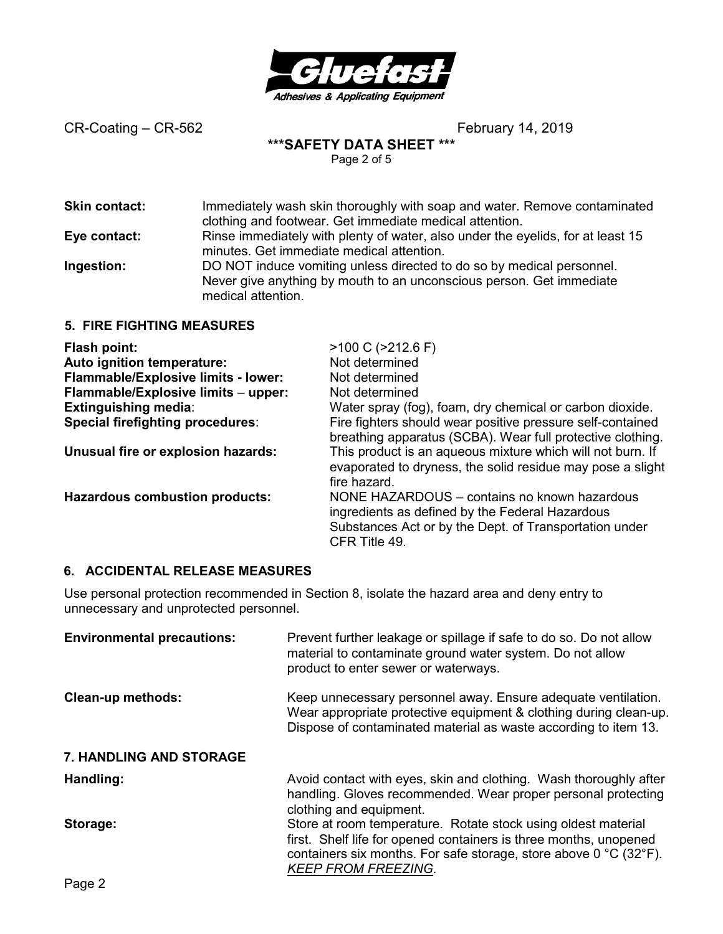

**\*\*\*SAFETY DATA SHEET \*\*\*** 

Page 2 of 5

| <b>Skin contact:</b>             | Immediately wash skin thoroughly with soap and water. Remove contaminated<br>clothing and footwear. Get immediate medical attention.                                |
|----------------------------------|---------------------------------------------------------------------------------------------------------------------------------------------------------------------|
| Eye contact:                     | Rinse immediately with plenty of water, also under the eyelids, for at least 15<br>minutes. Get immediate medical attention.                                        |
| Ingestion:                       | DO NOT induce vomiting unless directed to do so by medical personnel.<br>Never give anything by mouth to an unconscious person. Get immediate<br>medical attention. |
| <b>5. FIRE FIGHTING MEASURES</b> |                                                                                                                                                                     |

| Flash point:                          | $>100$ C ( $>212.6$ F)                                                                                                                                                     |
|---------------------------------------|----------------------------------------------------------------------------------------------------------------------------------------------------------------------------|
| Auto ignition temperature:            | Not determined                                                                                                                                                             |
| Flammable/Explosive limits - lower:   | Not determined                                                                                                                                                             |
| Flammable/Explosive limits - upper:   | Not determined                                                                                                                                                             |
| <b>Extinguishing media:</b>           | Water spray (fog), foam, dry chemical or carbon dioxide.                                                                                                                   |
| Special firefighting procedures:      | Fire fighters should wear positive pressure self-contained<br>breathing apparatus (SCBA). Wear full protective clothing.                                                   |
| Unusual fire or explosion hazards:    | This product is an aqueous mixture which will not burn. If<br>evaporated to dryness, the solid residue may pose a slight<br>fire hazard.                                   |
| <b>Hazardous combustion products:</b> | NONE HAZARDOUS - contains no known hazardous<br>ingredients as defined by the Federal Hazardous<br>Substances Act or by the Dept. of Transportation under<br>CFR Title 49. |

# **6. ACCIDENTAL RELEASE MEASURES**

Use personal protection recommended in Section 8, isolate the hazard area and deny entry to unnecessary and unprotected personnel.

| <b>Environmental precautions:</b> | Prevent further leakage or spillage if safe to do so. Do not allow<br>material to contaminate ground water system. Do not allow<br>product to enter sewer or waterways.                                                                                   |
|-----------------------------------|-----------------------------------------------------------------------------------------------------------------------------------------------------------------------------------------------------------------------------------------------------------|
| <b>Clean-up methods:</b>          | Keep unnecessary personnel away. Ensure adequate ventilation.<br>Wear appropriate protective equipment & clothing during clean-up.<br>Dispose of contaminated material as waste according to item 13.                                                     |
| <b>7. HANDLING AND STORAGE</b>    |                                                                                                                                                                                                                                                           |
| Handling:                         | Avoid contact with eyes, skin and clothing. Wash thoroughly after<br>handling. Gloves recommended. Wear proper personal protecting<br>clothing and equipment.                                                                                             |
| Storage:                          | Store at room temperature. Rotate stock using oldest material<br>first. Shelf life for opened containers is three months, unopened<br>containers six months. For safe storage, store above $0^{\circ}$ C (32 $^{\circ}$ F).<br><b>KEEP FROM FREEZING.</b> |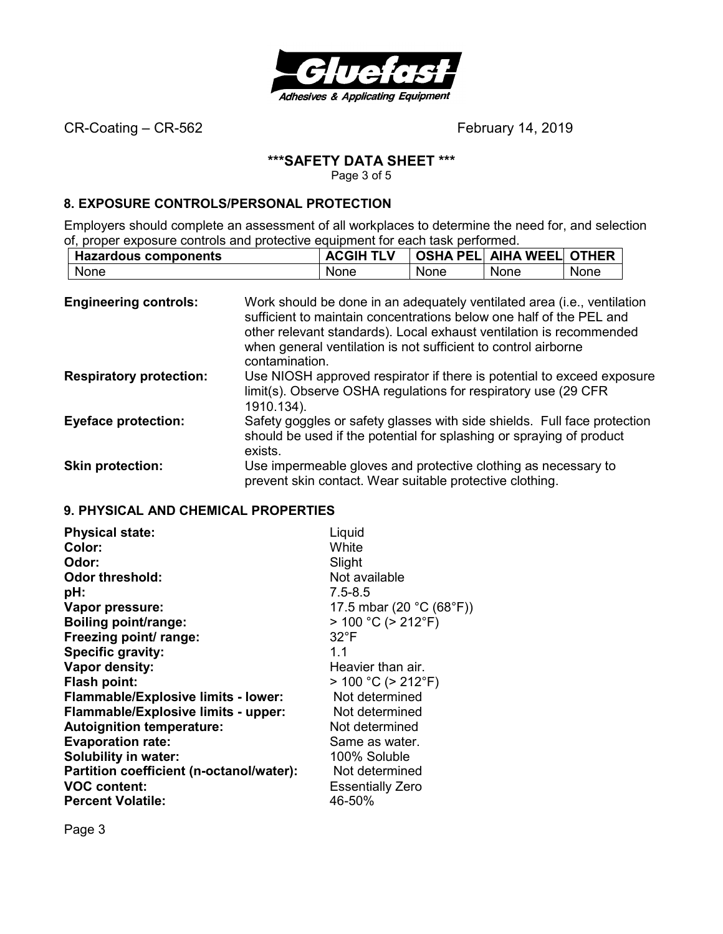

# **\*\*\*SAFETY DATA SHEET \*\*\***

Page 3 of 5

# **8. EXPOSURE CONTROLS/PERSONAL PROTECTION**

Employers should complete an assessment of all workplaces to determine the need for, and selection of, proper exposure controls and protective equipment for each task performed.

|             | <b>Hazardous components</b> |      | <b>ACGIH TLV</b> |      | <b>OSHA PEL AIHA WEEL OTHER</b> |      |
|-------------|-----------------------------|------|------------------|------|---------------------------------|------|
| <b>None</b> |                             | None |                  | None | None                            | None |

| <b>Engineering controls:</b>   | Work should be done in an adequately ventilated area (i.e., ventilation<br>sufficient to maintain concentrations below one half of the PEL and<br>other relevant standards). Local exhaust ventilation is recommended<br>when general ventilation is not sufficient to control airborne<br>contamination. |
|--------------------------------|-----------------------------------------------------------------------------------------------------------------------------------------------------------------------------------------------------------------------------------------------------------------------------------------------------------|
| <b>Respiratory protection:</b> | Use NIOSH approved respirator if there is potential to exceed exposure<br>limit(s). Observe OSHA regulations for respiratory use (29 CFR)<br>1910.134).                                                                                                                                                   |
| <b>Eyeface protection:</b>     | Safety goggles or safety glasses with side shields. Full face protection<br>should be used if the potential for splashing or spraying of product<br>exists.                                                                                                                                               |
| <b>Skin protection:</b>        | Use impermeable gloves and protective clothing as necessary to<br>prevent skin contact. Wear suitable protective clothing.                                                                                                                                                                                |

# **9. PHYSICAL AND CHEMICAL PROPERTIES**

| <b>Physical state:</b>                     | Liquid                    |
|--------------------------------------------|---------------------------|
| Color:                                     | White                     |
| Odor:                                      | Slight                    |
| <b>Odor threshold:</b>                     | Not available             |
| pH:                                        | $7.5 - 8.5$               |
| Vapor pressure:                            | 17.5 mbar (20 °C (68°F))  |
| <b>Boiling point/range:</b>                | $> 100 °C$ ( $> 212 °F$ ) |
| Freezing point/ range:                     | $32^{\circ}$ F            |
| Specific gravity:                          | 11                        |
| Vapor density:                             | Heavier than air.         |
| Flash point:                               | $> 100 °C$ ( $> 212 °F$ ) |
| <b>Flammable/Explosive limits - lower:</b> | Not determined            |
| Flammable/Explosive limits - upper:        | Not determined            |
| <b>Autoignition temperature:</b>           | Not determined            |
| <b>Evaporation rate:</b>                   | Same as water.            |
| <b>Solubility in water:</b>                | 100% Soluble              |
| Partition coefficient (n-octanol/water):   | Not determined            |
| <b>VOC content:</b>                        | <b>Essentially Zero</b>   |
| <b>Percent Volatile:</b>                   | 46-50%                    |

Page 3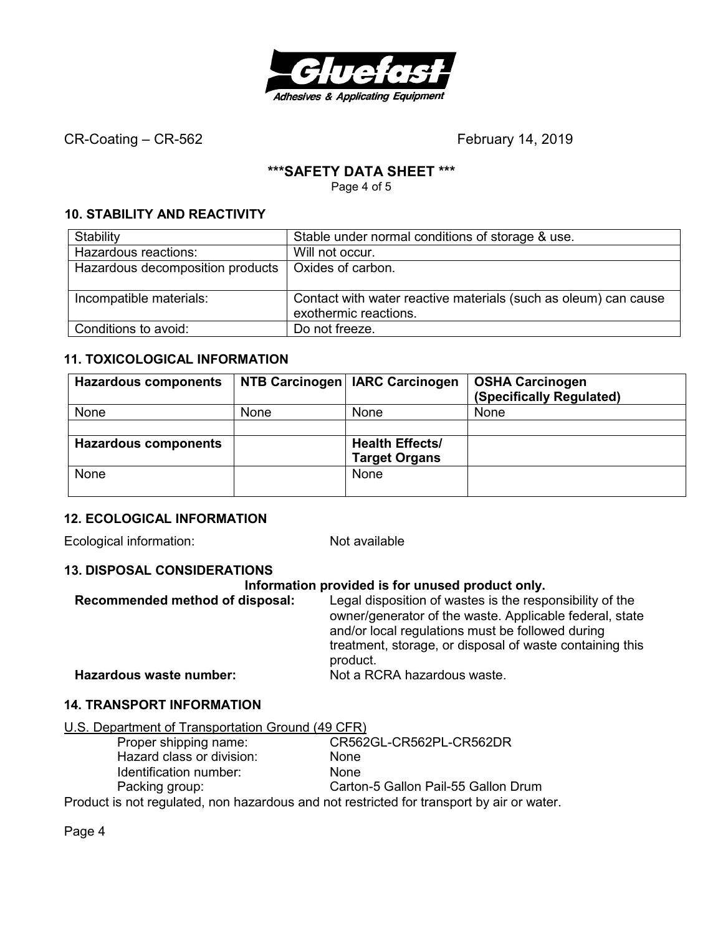

# **\*\*\*SAFETY DATA SHEET \*\*\***

Page 4 of 5

# **10. STABILITY AND REACTIVITY**

| Stability                        | Stable under normal conditions of storage & use.                |
|----------------------------------|-----------------------------------------------------------------|
| Hazardous reactions:             | Will not occur.                                                 |
| Hazardous decomposition products | Oxides of carbon.                                               |
|                                  |                                                                 |
| Incompatible materials:          | Contact with water reactive materials (such as oleum) can cause |
|                                  | exothermic reactions.                                           |
| Conditions to avoid:             | Do not freeze.                                                  |

# **11. TOXICOLOGICAL INFORMATION**

| <b>Hazardous components</b> |      | NTB Carcinogen   IARC Carcinogen | <b>OSHA Carcinogen</b><br>(Specifically Regulated) |
|-----------------------------|------|----------------------------------|----------------------------------------------------|
| None                        | None | None                             | <b>None</b>                                        |
|                             |      |                                  |                                                    |
| <b>Hazardous components</b> |      | <b>Health Effects/</b>           |                                                    |
|                             |      | <b>Target Organs</b>             |                                                    |
| None                        |      | <b>None</b>                      |                                                    |
|                             |      |                                  |                                                    |

# **12. ECOLOGICAL INFORMATION**

Ecological information: Not available

# **13. DISPOSAL CONSIDERATIONS**

#### **Information provided is for unused product only.**

| Recommended method of disposal: | Legal disposition of wastes is the responsibility of the<br>owner/generator of the waste. Applicable federal, state |
|---------------------------------|---------------------------------------------------------------------------------------------------------------------|
|                                 | and/or local regulations must be followed during<br>treatment, storage, or disposal of waste containing this        |
|                                 | product.                                                                                                            |
| Hazardous waste number:         | Not a RCRA hazardous waste.                                                                                         |

# **14. TRANSPORT INFORMATION**

| U.S. Department of Transportation Ground (49 CFR) |
|---------------------------------------------------|
|---------------------------------------------------|

| Proper shipping name:     | CR562GL-CR562PL-CR562DR                                                                 |
|---------------------------|-----------------------------------------------------------------------------------------|
| Hazard class or division: | <b>None</b>                                                                             |
| Identification number:    | <b>None</b>                                                                             |
| Packing group:            | Carton-5 Gallon Pail-55 Gallon Drum                                                     |
|                           | Draduat is not requisited, non bezardeus and not restricted for transport by sir en wat |

Product is not regulated, non hazardous and not restricted for transport by air or water.

Page 4